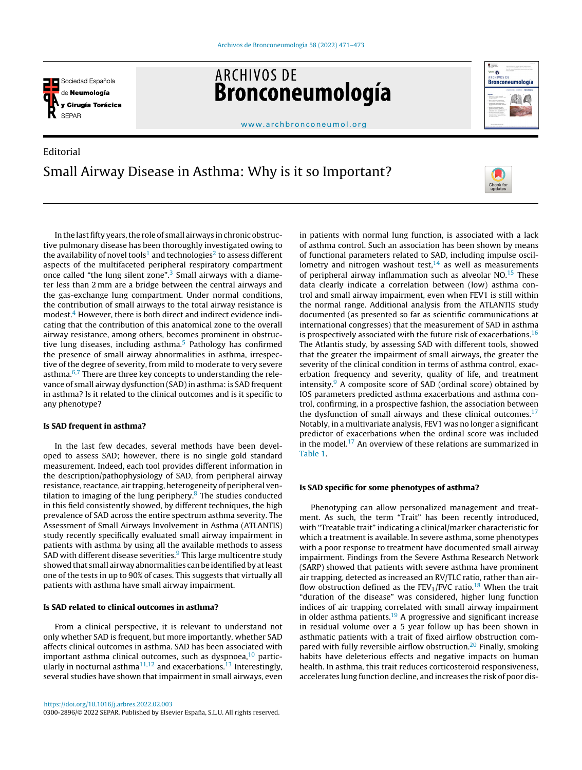

**ARCHIVOS DE** Bronconeumología



[www.archbronconeumol.org](http://www.archbronconeumol.org)

# Editorial Small Airway Disease in Asthma: Why is it so Important?



In the last fifty years, the role of small airways in chronic obstructive pulmonary disease has been thoroughly investigated owing to the availability of novel tools $^1$  $^1$  and technologies $^2$  $^2$  to assess different aspects of the multifaceted peripheral respiratory compartment once called "the lung silent zone".<sup>[3](#page-1-0)</sup> Small airways with a diameter less than 2 mm are a bridge between the central airways and the gas-exchange lung compartment. Under normal conditions, the contribution of small airways to the total airway resistance is modest.<sup>4</sup> [H](#page-1-0)owever, there is both direct and indirect evidence indicating that the contribution of this anatomical zone to the overall airway resistance, among others, becomes prominent in obstructive lung diseases, including asthma. $5$  Pathology has confirmed the presence of small airway abnormalities in asthma, irrespective of the degree of severity, from mild to moderate to very severe asthma. $6.7$  There are three key concepts to understanding the relevance of small airway dysfunction (SAD)in asthma: is SAD frequent in asthma? Is it related to the clinical outcomes and is it specific to any phenotype?

## Is SAD frequent in asthma?

In the last few decades, several methods have been developed to assess SAD; however, there is no single gold standard measurement. Indeed, each tool provides different information in the description/pathophysiology of SAD, from peripheral airway resistance, reactance, air trapping, heterogeneity of peripheral ventilation to imaging of the lung periphery. $8$  The studies conducted in this field consistently showed, by different techniques, the high prevalence of SAD across the entire spectrum asthma severity. The Assessment of Small Airways Involvement in Asthma (ATLANTIS) study recently specifically evaluated small airway impairment in patients with asthma by using all the available methods to assess SAD with different disease severities. $9$  [T](#page-1-0)his large multicentre study showed that small airway abnormalities can be identified by atleast one of the tests in up to 90% of cases. This suggests that virtually all patients with asthma have small airway impairment.

## Is SAD related to clinical outcomes in asthma?

From a clinical perspective, it is relevant to understand not only whether SAD is frequent, but more importantly, whether SAD affects clinical outcomes in asthma. SAD has been associated with important asthma clinical outcomes, such as dyspnoea, $10$  partic-ularly in nocturnal asthma<sup>[11,12](#page-2-0)</sup> and exacerbations.<sup>[13](#page-2-0)</sup> Interestingly, several studies have shown that impairment in small airways, even

0300-2896/© 2022 SEPAR. Published by Elsevier España, S.L.U. All rights reserved.

in patients with normal lung function, is associated with a lack of asthma control. Such an association has been shown by means of functional parameters related to SAD, including impulse oscillometry and nitrogen washout test, $14$  as well as measurements of peripheral airway inflammation such as alveolar  $NO$ .<sup>[15](#page-2-0)</sup> These data clearly indicate a correlation between (low) asthma control and small airway impairment, even when FEV1 is still within the normal range. Additional analysis from the ATLANTIS study documented (as presented so far as scientific communications at international congresses) that the measurement of SAD in asthma is prospectively associated with the future risk of exacerbations.<sup>[16](#page-2-0)</sup> The Atlantis study, by assessing SAD with different tools, showed that the greater the impairment of small airways, the greater the severity of the clinical condition in terms of asthma control, exacerbation frequency and severity, quality of life, and treatment intensity. $9$  A composite score of SAD (ordinal score) obtained by IOS parameters predicted asthma exacerbations and asthma control, confirming, in a prospective fashion, the association between the dysfunction of small airways and these clinical outcomes.<sup>[17](#page-2-0)</sup> Notably, in a multivariate analysis, FEV1 was no longer a significant predictor of exacerbations when the ordinal score was included in the model.<sup>[17](#page-2-0)</sup> An overview of these relations are summarized in [Table](#page-1-0) 1.

# Is SAD specific for some phenotypes of asthma?

Phenotyping can allow personalized management and treatment. As such, the term "Trait" has been recently introduced, with "Treatable trait" indicating a clinical/marker characteristic for which a treatment is available. In severe asthma, some phenotypes with a poor response to treatment have documented small airway impairment. Findings from the Severe Asthma Research Network (SARP) showed that patients with severe asthma have prominent air trapping, detected as increased an RV/TLC ratio, rather than airflow obstruction defined as the  $FEV<sub>1</sub>/FVC$  ratio.<sup>[18](#page-2-0)</sup> When the trait "duration of the disease" was considered, higher lung function indices of air trapping correlated with small airway impairment in older asthma patients.<sup>[19](#page-2-0)</sup> A progressive and significant increase in residual volume over a 5 year follow up has been shown in asthmatic patients with a trait of fixed airflow obstruction com-pared with fully reversible airflow obstruction.<sup>[20](#page-2-0)</sup> Finally, smoking habits have deleterious effects and negative impacts on human health. In asthma, this trait reduces corticosteroid responsiveness, accelerates lung function decline, and increases the risk of poor dis-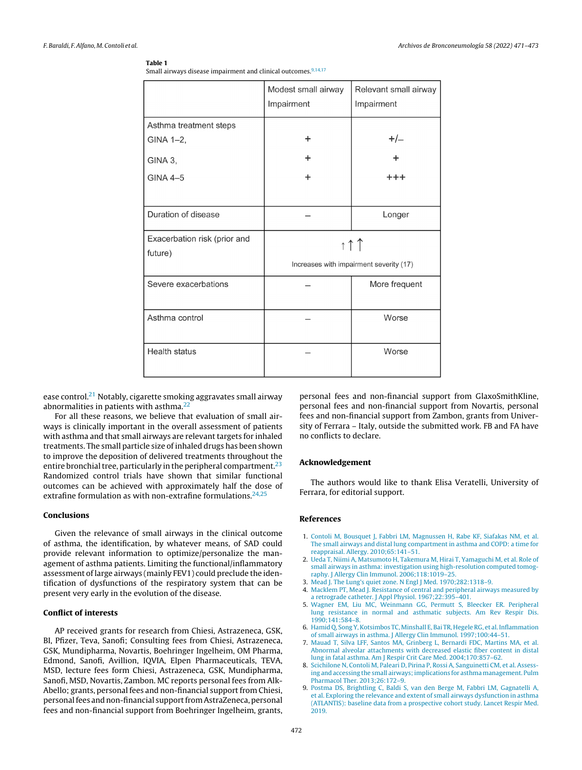#### <span id="page-1-0"></span>Table 1

Small airways disease impairment and clinical outcomes.<sup>9,14,17</sup>

|                              | Modest small airway<br>Impairment       | Relevant small airway<br>Impairment |
|------------------------------|-----------------------------------------|-------------------------------------|
| Asthma treatment steps       |                                         |                                     |
| GINA 1-2,                    | ÷                                       | $+/-$                               |
| GINA 3,                      | ٠                                       | ÷                                   |
| <b>GINA 4-5</b>              | ÷                                       | $^{+ + +}$                          |
|                              |                                         |                                     |
| Duration of disease          |                                         | Longer                              |
| Exacerbation risk (prior and | $\uparrow \uparrow \uparrow$            |                                     |
| future)                      | Increases with impairment severity (17) |                                     |
|                              |                                         |                                     |
| Severe exacerbations         |                                         | More frequent                       |
|                              |                                         |                                     |
| Asthma control               |                                         | Worse                               |
|                              |                                         |                                     |
| <b>Health status</b>         |                                         | Worse                               |
|                              |                                         |                                     |

ease control.<sup>[21](#page-2-0)</sup> Notably, cigarette smoking aggravates small airway abnormalities in patients with asthma. $22$ 

For all these reasons, we believe that evaluation of small airways is clinically important in the overall assessment of patients with asthma and that small airways are relevant targets for inhaled treatments. The small particle size of inhaled drugs has been shown to improve the deposition of delivered treatments throughout the entire bronchial tree, particularly in the peripheral compartment.<sup>[23](#page-2-0)</sup> Randomized control trials have shown that similar functional outcomes can be achieved with approximately half the dose of extrafine formulation as with non-extrafine formulations.  $24,25$ 

# Conclusions

Given the relevance of small airways in the clinical outcome of asthma, the identification, by whatever means, of SAD could provide relevant information to optimize/personalize the management of asthma patients. Limiting the functional/inflammatory assessment of large airways (mainly FEV1) could preclude the identification of dysfunctions of the respiratory system that can be present very early in the evolution of the disease.

## Conflict of interests

AP received grants for research from Chiesi, Astrazeneca, GSK, BI, Pfizer, Teva, Sanofi; Consulting fees from Chiesi, Astrazeneca, GSK, Mundipharma, Novartis, Boehringer Ingelheim, OM Pharma, Edmond, Sanofi, Avillion, IQVIA, Elpen Pharmaceuticals, TEVA, MSD, lecture fees form Chiesi, Astrazeneca, GSK, Mundipharma, Sanofi, MSD, Novartis, Zambon. MC reports personal fees from Alk-Abello; grants, personal fees and non-financial support from Chiesi, personal fees and non-financial support from AstraZeneca, personal fees and non-financial support from Boehringer Ingelheim, grants,

personal fees and non-financial support from GlaxoSmithKline, personal fees and non-financial support from Novartis, personal fees and non-financial support from Zambon, grants from University of Ferrara – Italy, outside the submitted work. FB and FA have no conflicts to declare.

#### Acknowledgement

The authors would like to thank Elisa Veratelli, University of Ferrara, for editorial support.

## References

- 1. [Contoli](http://refhub.elsevier.com/S0300-2896(22)00093-X/sbref0130) [M,](http://refhub.elsevier.com/S0300-2896(22)00093-X/sbref0130) [Bousquet](http://refhub.elsevier.com/S0300-2896(22)00093-X/sbref0130) [J,](http://refhub.elsevier.com/S0300-2896(22)00093-X/sbref0130) [Fabbri](http://refhub.elsevier.com/S0300-2896(22)00093-X/sbref0130) [LM,](http://refhub.elsevier.com/S0300-2896(22)00093-X/sbref0130) [Magnussen](http://refhub.elsevier.com/S0300-2896(22)00093-X/sbref0130) [H,](http://refhub.elsevier.com/S0300-2896(22)00093-X/sbref0130) [Rabe](http://refhub.elsevier.com/S0300-2896(22)00093-X/sbref0130) [KF,](http://refhub.elsevier.com/S0300-2896(22)00093-X/sbref0130) [Siafakas](http://refhub.elsevier.com/S0300-2896(22)00093-X/sbref0130) [NM,](http://refhub.elsevier.com/S0300-2896(22)00093-X/sbref0130) [et](http://refhub.elsevier.com/S0300-2896(22)00093-X/sbref0130) [al.](http://refhub.elsevier.com/S0300-2896(22)00093-X/sbref0130) [The](http://refhub.elsevier.com/S0300-2896(22)00093-X/sbref0130) [small](http://refhub.elsevier.com/S0300-2896(22)00093-X/sbref0130) [airways](http://refhub.elsevier.com/S0300-2896(22)00093-X/sbref0130) [and](http://refhub.elsevier.com/S0300-2896(22)00093-X/sbref0130) [distal](http://refhub.elsevier.com/S0300-2896(22)00093-X/sbref0130) [lung](http://refhub.elsevier.com/S0300-2896(22)00093-X/sbref0130) [compartment](http://refhub.elsevier.com/S0300-2896(22)00093-X/sbref0130) [in](http://refhub.elsevier.com/S0300-2896(22)00093-X/sbref0130) [asthma](http://refhub.elsevier.com/S0300-2896(22)00093-X/sbref0130) [and](http://refhub.elsevier.com/S0300-2896(22)00093-X/sbref0130) [COPD:](http://refhub.elsevier.com/S0300-2896(22)00093-X/sbref0130) [a](http://refhub.elsevier.com/S0300-2896(22)00093-X/sbref0130) [time](http://refhub.elsevier.com/S0300-2896(22)00093-X/sbref0130) [for](http://refhub.elsevier.com/S0300-2896(22)00093-X/sbref0130) [reappraisal.](http://refhub.elsevier.com/S0300-2896(22)00093-X/sbref0130) [Allergy.](http://refhub.elsevier.com/S0300-2896(22)00093-X/sbref0130) [2010;65:141–51.](http://refhub.elsevier.com/S0300-2896(22)00093-X/sbref0130)
- 2. [Ueda](http://refhub.elsevier.com/S0300-2896(22)00093-X/sbref0135) [T,](http://refhub.elsevier.com/S0300-2896(22)00093-X/sbref0135) [Niimi](http://refhub.elsevier.com/S0300-2896(22)00093-X/sbref0135) [A,](http://refhub.elsevier.com/S0300-2896(22)00093-X/sbref0135) [Matsumoto](http://refhub.elsevier.com/S0300-2896(22)00093-X/sbref0135) [H,](http://refhub.elsevier.com/S0300-2896(22)00093-X/sbref0135) [Takemura](http://refhub.elsevier.com/S0300-2896(22)00093-X/sbref0135) [M,](http://refhub.elsevier.com/S0300-2896(22)00093-X/sbref0135) [Hirai](http://refhub.elsevier.com/S0300-2896(22)00093-X/sbref0135) [T,](http://refhub.elsevier.com/S0300-2896(22)00093-X/sbref0135) [Yamaguchi](http://refhub.elsevier.com/S0300-2896(22)00093-X/sbref0135) [M,](http://refhub.elsevier.com/S0300-2896(22)00093-X/sbref0135) [et](http://refhub.elsevier.com/S0300-2896(22)00093-X/sbref0135) [al.](http://refhub.elsevier.com/S0300-2896(22)00093-X/sbref0135) [Role](http://refhub.elsevier.com/S0300-2896(22)00093-X/sbref0135) [of](http://refhub.elsevier.com/S0300-2896(22)00093-X/sbref0135) [small](http://refhub.elsevier.com/S0300-2896(22)00093-X/sbref0135) [airways](http://refhub.elsevier.com/S0300-2896(22)00093-X/sbref0135) [in](http://refhub.elsevier.com/S0300-2896(22)00093-X/sbref0135) [asthma:](http://refhub.elsevier.com/S0300-2896(22)00093-X/sbref0135) [investigation](http://refhub.elsevier.com/S0300-2896(22)00093-X/sbref0135) [using](http://refhub.elsevier.com/S0300-2896(22)00093-X/sbref0135) [high-resolution](http://refhub.elsevier.com/S0300-2896(22)00093-X/sbref0135) [computed](http://refhub.elsevier.com/S0300-2896(22)00093-X/sbref0135) [tomog](http://refhub.elsevier.com/S0300-2896(22)00093-X/sbref0135)[raphy.](http://refhub.elsevier.com/S0300-2896(22)00093-X/sbref0135) [J](http://refhub.elsevier.com/S0300-2896(22)00093-X/sbref0135) [Allergy](http://refhub.elsevier.com/S0300-2896(22)00093-X/sbref0135) [Clin](http://refhub.elsevier.com/S0300-2896(22)00093-X/sbref0135) [Immunol.](http://refhub.elsevier.com/S0300-2896(22)00093-X/sbref0135) [2006;118:1019–25.](http://refhub.elsevier.com/S0300-2896(22)00093-X/sbref0135)
- 3. [Mead](http://refhub.elsevier.com/S0300-2896(22)00093-X/sbref0140) [J.](http://refhub.elsevier.com/S0300-2896(22)00093-X/sbref0140) [The](http://refhub.elsevier.com/S0300-2896(22)00093-X/sbref0140) [Lung's](http://refhub.elsevier.com/S0300-2896(22)00093-X/sbref0140) [quiet](http://refhub.elsevier.com/S0300-2896(22)00093-X/sbref0140) [zone.](http://refhub.elsevier.com/S0300-2896(22)00093-X/sbref0140) [N](http://refhub.elsevier.com/S0300-2896(22)00093-X/sbref0140) [Engl](http://refhub.elsevier.com/S0300-2896(22)00093-X/sbref0140) [J](http://refhub.elsevier.com/S0300-2896(22)00093-X/sbref0140) [Med.](http://refhub.elsevier.com/S0300-2896(22)00093-X/sbref0140) [1970;282:1318–9.](http://refhub.elsevier.com/S0300-2896(22)00093-X/sbref0140)
- 4. [Macklem](http://refhub.elsevier.com/S0300-2896(22)00093-X/sbref0145) [PT,](http://refhub.elsevier.com/S0300-2896(22)00093-X/sbref0145) [Mead](http://refhub.elsevier.com/S0300-2896(22)00093-X/sbref0145) [J.](http://refhub.elsevier.com/S0300-2896(22)00093-X/sbref0145) [Resistance](http://refhub.elsevier.com/S0300-2896(22)00093-X/sbref0145) [of](http://refhub.elsevier.com/S0300-2896(22)00093-X/sbref0145) [central](http://refhub.elsevier.com/S0300-2896(22)00093-X/sbref0145) [and](http://refhub.elsevier.com/S0300-2896(22)00093-X/sbref0145) [peripheral](http://refhub.elsevier.com/S0300-2896(22)00093-X/sbref0145) [airways](http://refhub.elsevier.com/S0300-2896(22)00093-X/sbref0145) [measured](http://refhub.elsevier.com/S0300-2896(22)00093-X/sbref0145) [by](http://refhub.elsevier.com/S0300-2896(22)00093-X/sbref0145) [a](http://refhub.elsevier.com/S0300-2896(22)00093-X/sbref0145) [retrograde](http://refhub.elsevier.com/S0300-2896(22)00093-X/sbref0145) [catheter.](http://refhub.elsevier.com/S0300-2896(22)00093-X/sbref0145) [J](http://refhub.elsevier.com/S0300-2896(22)00093-X/sbref0145) [Appl](http://refhub.elsevier.com/S0300-2896(22)00093-X/sbref0145) [Physiol.](http://refhub.elsevier.com/S0300-2896(22)00093-X/sbref0145) [1967;22:395–401.](http://refhub.elsevier.com/S0300-2896(22)00093-X/sbref0145)
- 5. [Wagner](http://refhub.elsevier.com/S0300-2896(22)00093-X/sbref0150) [EM,](http://refhub.elsevier.com/S0300-2896(22)00093-X/sbref0150) [Liu](http://refhub.elsevier.com/S0300-2896(22)00093-X/sbref0150) [MC,](http://refhub.elsevier.com/S0300-2896(22)00093-X/sbref0150) [Weinmann](http://refhub.elsevier.com/S0300-2896(22)00093-X/sbref0150) [GG,](http://refhub.elsevier.com/S0300-2896(22)00093-X/sbref0150) [Permutt](http://refhub.elsevier.com/S0300-2896(22)00093-X/sbref0150) [S,](http://refhub.elsevier.com/S0300-2896(22)00093-X/sbref0150) [Bleecker](http://refhub.elsevier.com/S0300-2896(22)00093-X/sbref0150) [ER.](http://refhub.elsevier.com/S0300-2896(22)00093-X/sbref0150) [Peripheral](http://refhub.elsevier.com/S0300-2896(22)00093-X/sbref0150) [lung](http://refhub.elsevier.com/S0300-2896(22)00093-X/sbref0150) [resistance](http://refhub.elsevier.com/S0300-2896(22)00093-X/sbref0150) [in](http://refhub.elsevier.com/S0300-2896(22)00093-X/sbref0150) [normal](http://refhub.elsevier.com/S0300-2896(22)00093-X/sbref0150) [and](http://refhub.elsevier.com/S0300-2896(22)00093-X/sbref0150) [asthmatic](http://refhub.elsevier.com/S0300-2896(22)00093-X/sbref0150) [subjects.](http://refhub.elsevier.com/S0300-2896(22)00093-X/sbref0150) [Am](http://refhub.elsevier.com/S0300-2896(22)00093-X/sbref0150) [Rev](http://refhub.elsevier.com/S0300-2896(22)00093-X/sbref0150) [Respir](http://refhub.elsevier.com/S0300-2896(22)00093-X/sbref0150) [Dis.](http://refhub.elsevier.com/S0300-2896(22)00093-X/sbref0150) [1990;141:584](http://refhub.elsevier.com/S0300-2896(22)00093-X/sbref0150)–[8.](http://refhub.elsevier.com/S0300-2896(22)00093-X/sbref0150)
- 6. [Hamid](http://refhub.elsevier.com/S0300-2896(22)00093-X/sbref0155) [Q,](http://refhub.elsevier.com/S0300-2896(22)00093-X/sbref0155) Song Y, Kotsimbos TC, Minshall [E,](http://refhub.elsevier.com/S0300-2896(22)00093-X/sbref0155) [Bai](http://refhub.elsevier.com/S0300-2896(22)00093-X/sbref0155) [TR,](http://refhub.elsevier.com/S0300-2896(22)00093-X/sbref0155) Hegele RG, [et](http://refhub.elsevier.com/S0300-2896(22)00093-X/sbref0155) al. Inflammation [of](http://refhub.elsevier.com/S0300-2896(22)00093-X/sbref0155) [small](http://refhub.elsevier.com/S0300-2896(22)00093-X/sbref0155) [airways](http://refhub.elsevier.com/S0300-2896(22)00093-X/sbref0155) [in](http://refhub.elsevier.com/S0300-2896(22)00093-X/sbref0155) [asthma.](http://refhub.elsevier.com/S0300-2896(22)00093-X/sbref0155) [J](http://refhub.elsevier.com/S0300-2896(22)00093-X/sbref0155) [Allergy](http://refhub.elsevier.com/S0300-2896(22)00093-X/sbref0155) [Clin](http://refhub.elsevier.com/S0300-2896(22)00093-X/sbref0155) [Immunol.](http://refhub.elsevier.com/S0300-2896(22)00093-X/sbref0155) [1997;100:44](http://refhub.elsevier.com/S0300-2896(22)00093-X/sbref0155)–[51.](http://refhub.elsevier.com/S0300-2896(22)00093-X/sbref0155)
- 7. [Mauad](http://refhub.elsevier.com/S0300-2896(22)00093-X/sbref0160) [T,](http://refhub.elsevier.com/S0300-2896(22)00093-X/sbref0160) [Silva](http://refhub.elsevier.com/S0300-2896(22)00093-X/sbref0160) [LFF,](http://refhub.elsevier.com/S0300-2896(22)00093-X/sbref0160) [Santos](http://refhub.elsevier.com/S0300-2896(22)00093-X/sbref0160) [MA,](http://refhub.elsevier.com/S0300-2896(22)00093-X/sbref0160) [Grinberg](http://refhub.elsevier.com/S0300-2896(22)00093-X/sbref0160) [L,](http://refhub.elsevier.com/S0300-2896(22)00093-X/sbref0160) [Bernardi](http://refhub.elsevier.com/S0300-2896(22)00093-X/sbref0160) [FDC,](http://refhub.elsevier.com/S0300-2896(22)00093-X/sbref0160) [Martins](http://refhub.elsevier.com/S0300-2896(22)00093-X/sbref0160) [MA,](http://refhub.elsevier.com/S0300-2896(22)00093-X/sbref0160) [et](http://refhub.elsevier.com/S0300-2896(22)00093-X/sbref0160) [al.](http://refhub.elsevier.com/S0300-2896(22)00093-X/sbref0160) [Abnormal](http://refhub.elsevier.com/S0300-2896(22)00093-X/sbref0160) [alveolar](http://refhub.elsevier.com/S0300-2896(22)00093-X/sbref0160) [attachments](http://refhub.elsevier.com/S0300-2896(22)00093-X/sbref0160) [with](http://refhub.elsevier.com/S0300-2896(22)00093-X/sbref0160) [decreased](http://refhub.elsevier.com/S0300-2896(22)00093-X/sbref0160) [elastic](http://refhub.elsevier.com/S0300-2896(22)00093-X/sbref0160) [fiber](http://refhub.elsevier.com/S0300-2896(22)00093-X/sbref0160) [content](http://refhub.elsevier.com/S0300-2896(22)00093-X/sbref0160) [in](http://refhub.elsevier.com/S0300-2896(22)00093-X/sbref0160) [distal](http://refhub.elsevier.com/S0300-2896(22)00093-X/sbref0160) [lung](http://refhub.elsevier.com/S0300-2896(22)00093-X/sbref0160) [in](http://refhub.elsevier.com/S0300-2896(22)00093-X/sbref0160) [fatal](http://refhub.elsevier.com/S0300-2896(22)00093-X/sbref0160) [asthma.](http://refhub.elsevier.com/S0300-2896(22)00093-X/sbref0160) [Am](http://refhub.elsevier.com/S0300-2896(22)00093-X/sbref0160) [J](http://refhub.elsevier.com/S0300-2896(22)00093-X/sbref0160) [Respir](http://refhub.elsevier.com/S0300-2896(22)00093-X/sbref0160) [Crit](http://refhub.elsevier.com/S0300-2896(22)00093-X/sbref0160) [Care](http://refhub.elsevier.com/S0300-2896(22)00093-X/sbref0160) [Med.](http://refhub.elsevier.com/S0300-2896(22)00093-X/sbref0160) [2004;170:857–62.](http://refhub.elsevier.com/S0300-2896(22)00093-X/sbref0160)
- 8. [Scichilone](http://refhub.elsevier.com/S0300-2896(22)00093-X/sbref0165) [N,](http://refhub.elsevier.com/S0300-2896(22)00093-X/sbref0165) [Contoli](http://refhub.elsevier.com/S0300-2896(22)00093-X/sbref0165) [M,](http://refhub.elsevier.com/S0300-2896(22)00093-X/sbref0165) [Paleari](http://refhub.elsevier.com/S0300-2896(22)00093-X/sbref0165) [D,](http://refhub.elsevier.com/S0300-2896(22)00093-X/sbref0165) [Pirina](http://refhub.elsevier.com/S0300-2896(22)00093-X/sbref0165) [P,](http://refhub.elsevier.com/S0300-2896(22)00093-X/sbref0165) [Rossi](http://refhub.elsevier.com/S0300-2896(22)00093-X/sbref0165) [A,](http://refhub.elsevier.com/S0300-2896(22)00093-X/sbref0165) [Sanguinetti](http://refhub.elsevier.com/S0300-2896(22)00093-X/sbref0165) [CM,](http://refhub.elsevier.com/S0300-2896(22)00093-X/sbref0165) [et](http://refhub.elsevier.com/S0300-2896(22)00093-X/sbref0165) [al.](http://refhub.elsevier.com/S0300-2896(22)00093-X/sbref0165) [Assess](http://refhub.elsevier.com/S0300-2896(22)00093-X/sbref0165)[ing](http://refhub.elsevier.com/S0300-2896(22)00093-X/sbref0165) [and](http://refhub.elsevier.com/S0300-2896(22)00093-X/sbref0165) [accessing](http://refhub.elsevier.com/S0300-2896(22)00093-X/sbref0165) [the](http://refhub.elsevier.com/S0300-2896(22)00093-X/sbref0165) [small](http://refhub.elsevier.com/S0300-2896(22)00093-X/sbref0165) airways; implications [for](http://refhub.elsevier.com/S0300-2896(22)00093-X/sbref0165) [asthma](http://refhub.elsevier.com/S0300-2896(22)00093-X/sbref0165) [management.](http://refhub.elsevier.com/S0300-2896(22)00093-X/sbref0165) [Pulm](http://refhub.elsevier.com/S0300-2896(22)00093-X/sbref0165) [Pharmacol](http://refhub.elsevier.com/S0300-2896(22)00093-X/sbref0165) [Ther.](http://refhub.elsevier.com/S0300-2896(22)00093-X/sbref0165) [2013;26:172](http://refhub.elsevier.com/S0300-2896(22)00093-X/sbref0165)–[9.](http://refhub.elsevier.com/S0300-2896(22)00093-X/sbref0165)
- 9. [Postma](http://refhub.elsevier.com/S0300-2896(22)00093-X/sbref0170) [DS,](http://refhub.elsevier.com/S0300-2896(22)00093-X/sbref0170) [Brightling](http://refhub.elsevier.com/S0300-2896(22)00093-X/sbref0170) [C,](http://refhub.elsevier.com/S0300-2896(22)00093-X/sbref0170) [Baldi](http://refhub.elsevier.com/S0300-2896(22)00093-X/sbref0170) [S,](http://refhub.elsevier.com/S0300-2896(22)00093-X/sbref0170) [van](http://refhub.elsevier.com/S0300-2896(22)00093-X/sbref0170) [den](http://refhub.elsevier.com/S0300-2896(22)00093-X/sbref0170) [Berge](http://refhub.elsevier.com/S0300-2896(22)00093-X/sbref0170) [M,](http://refhub.elsevier.com/S0300-2896(22)00093-X/sbref0170) [Fabbri](http://refhub.elsevier.com/S0300-2896(22)00093-X/sbref0170) [LM,](http://refhub.elsevier.com/S0300-2896(22)00093-X/sbref0170) [Gagnatelli](http://refhub.elsevier.com/S0300-2896(22)00093-X/sbref0170) [A,](http://refhub.elsevier.com/S0300-2896(22)00093-X/sbref0170) [et](http://refhub.elsevier.com/S0300-2896(22)00093-X/sbref0170) [al.](http://refhub.elsevier.com/S0300-2896(22)00093-X/sbref0170) [Exploring](http://refhub.elsevier.com/S0300-2896(22)00093-X/sbref0170) [the](http://refhub.elsevier.com/S0300-2896(22)00093-X/sbref0170) [relevance](http://refhub.elsevier.com/S0300-2896(22)00093-X/sbref0170) [and](http://refhub.elsevier.com/S0300-2896(22)00093-X/sbref0170) [extent](http://refhub.elsevier.com/S0300-2896(22)00093-X/sbref0170) [of](http://refhub.elsevier.com/S0300-2896(22)00093-X/sbref0170) [small](http://refhub.elsevier.com/S0300-2896(22)00093-X/sbref0170) [airways](http://refhub.elsevier.com/S0300-2896(22)00093-X/sbref0170) [dysfunction](http://refhub.elsevier.com/S0300-2896(22)00093-X/sbref0170) [in](http://refhub.elsevier.com/S0300-2896(22)00093-X/sbref0170) [asthma](http://refhub.elsevier.com/S0300-2896(22)00093-X/sbref0170) [\(ATLANTIS\):](http://refhub.elsevier.com/S0300-2896(22)00093-X/sbref0170) [baseline](http://refhub.elsevier.com/S0300-2896(22)00093-X/sbref0170) [data](http://refhub.elsevier.com/S0300-2896(22)00093-X/sbref0170) [from](http://refhub.elsevier.com/S0300-2896(22)00093-X/sbref0170) [a](http://refhub.elsevier.com/S0300-2896(22)00093-X/sbref0170) [prospective](http://refhub.elsevier.com/S0300-2896(22)00093-X/sbref0170) [cohort](http://refhub.elsevier.com/S0300-2896(22)00093-X/sbref0170) [study.](http://refhub.elsevier.com/S0300-2896(22)00093-X/sbref0170) [Lancet](http://refhub.elsevier.com/S0300-2896(22)00093-X/sbref0170) [Respir](http://refhub.elsevier.com/S0300-2896(22)00093-X/sbref0170) [Med.](http://refhub.elsevier.com/S0300-2896(22)00093-X/sbref0170) [2019.](http://refhub.elsevier.com/S0300-2896(22)00093-X/sbref0170)